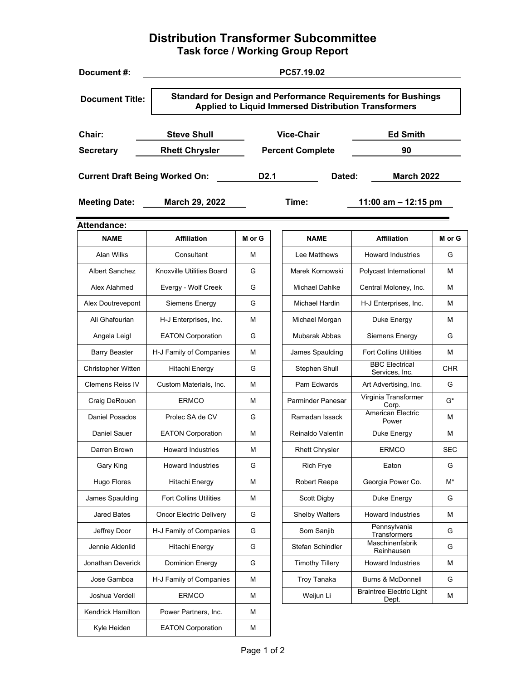# **Distribution Transformer Subcommittee Task force / Working Group Report**

| Document#:                                                                                                                                                    | PC57.19.02                     |                  |                         |                                          |            |
|---------------------------------------------------------------------------------------------------------------------------------------------------------------|--------------------------------|------------------|-------------------------|------------------------------------------|------------|
| <b>Standard for Design and Performance Requirements for Bushings</b><br><b>Document Title:</b><br><b>Applied to Liquid Immersed Distribution Transformers</b> |                                |                  |                         |                                          |            |
| Chair:                                                                                                                                                        | <b>Steve Shull</b>             |                  | <b>Vice-Chair</b>       | <b>Ed Smith</b>                          |            |
| <b>Secretary</b>                                                                                                                                              | <b>Rhett Chrysler</b>          |                  | <b>Percent Complete</b> | 90                                       |            |
| <b>Current Draft Being Worked On:</b>                                                                                                                         |                                | D <sub>2.1</sub> | Dated:                  | <b>March 2022</b>                        |            |
| <b>Meeting Date:</b>                                                                                                                                          | March 29, 2022                 |                  | Time:                   | 11:00 am $-$ 12:15 pm                    |            |
| <b>Attendance:</b>                                                                                                                                            |                                |                  |                         |                                          |            |
| <b>NAME</b>                                                                                                                                                   | <b>Affiliation</b>             | M or G           | <b>NAME</b>             | <b>Affiliation</b>                       | M or G     |
| Alan Wilks                                                                                                                                                    | Consultant                     | м                | Lee Matthews            | <b>Howard Industries</b>                 | G          |
| <b>Albert Sanchez</b>                                                                                                                                         | Knoxville Utilities Board      | G                | Marek Kornowski         | Polycast International                   | м          |
| Alex Alahmed                                                                                                                                                  | Evergy - Wolf Creek            | G                | <b>Michael Dahlke</b>   | Central Moloney, Inc.                    | м          |
| Alex Doutrevepont                                                                                                                                             | Siemens Energy                 | G                | Michael Hardin          | H-J Enterprises, Inc.                    | м          |
| Ali Ghafourian                                                                                                                                                | H-J Enterprises, Inc.          | м                | Michael Morgan          | Duke Energy                              | М          |
| Angela Leigl                                                                                                                                                  | <b>EATON Corporation</b>       | G                | Mubarak Abbas           | Siemens Energy                           | G          |
| <b>Barry Beaster</b>                                                                                                                                          | H-J Family of Companies        | М                | James Spaulding         | <b>Fort Collins Utilities</b>            | M          |
| Christopher Witten                                                                                                                                            | Hitachi Energy                 | G                | Stephen Shull           | <b>BBC Electrical</b><br>Services, Inc.  | <b>CHR</b> |
| <b>Clemens Reiss IV</b>                                                                                                                                       | Custom Materials, Inc.         | м                | Pam Edwards             | Art Advertising, Inc.                    | G          |
| Craig DeRouen                                                                                                                                                 | <b>ERMCO</b>                   | М                | Parminder Panesar       | Virginia Transformer<br>Corp.            | G*         |
| <b>Daniel Posados</b>                                                                                                                                         | Prolec SA de CV                | G                | Ramadan Issack          | American Electric<br>Power               | м          |
| Daniel Sauer                                                                                                                                                  | <b>EATON Corporation</b>       | М                | Reinaldo Valentin       | Duke Energy                              | м          |
| Darren Brown                                                                                                                                                  | Howard Industries              | м                | <b>Rhett Chrysler</b>   | <b>FRMCO</b>                             | SEC        |
| Gary King                                                                                                                                                     | <b>Howard Industries</b>       | G                | <b>Rich Frye</b>        | Eaton                                    | G          |
| Hugo Flores                                                                                                                                                   | Hitachi Energy                 | М                | <b>Robert Reepe</b>     | Georgia Power Co.                        | $M^*$      |
| James Spaulding                                                                                                                                               | <b>Fort Collins Utilities</b>  | М                | Scott Digby             | Duke Energy                              | G          |
| <b>Jared Bates</b>                                                                                                                                            | <b>Oncor Electric Delivery</b> | G                | <b>Shelby Walters</b>   | <b>Howard Industries</b>                 | M          |
| Jeffrey Door                                                                                                                                                  | H-J Family of Companies        | G                | Som Sanjib              | Pennsylvania<br><b>Transformers</b>      | G          |
| Jennie Aldenlid                                                                                                                                               | Hitachi Energy                 | G                | Stefan Schindler        | Maschinenfabrik<br>Reinhausen            | G          |
| Jonathan Deverick                                                                                                                                             | Dominion Energy                | G                | <b>Timothy Tillery</b>  | <b>Howard Industries</b>                 | M          |
| Jose Gamboa                                                                                                                                                   | H-J Family of Companies        | М                | Troy Tanaka             | Burns & McDonnell                        | G          |
| Joshua Verdell                                                                                                                                                | <b>ERMCO</b>                   | М                | Weijun Li               | <b>Braintree Electric Light</b><br>Dept. | м          |
| Kendrick Hamilton                                                                                                                                             | Power Partners, Inc.           | м                |                         |                                          |            |
| Kyle Heiden                                                                                                                                                   | <b>EATON Corporation</b>       | М                |                         |                                          |            |